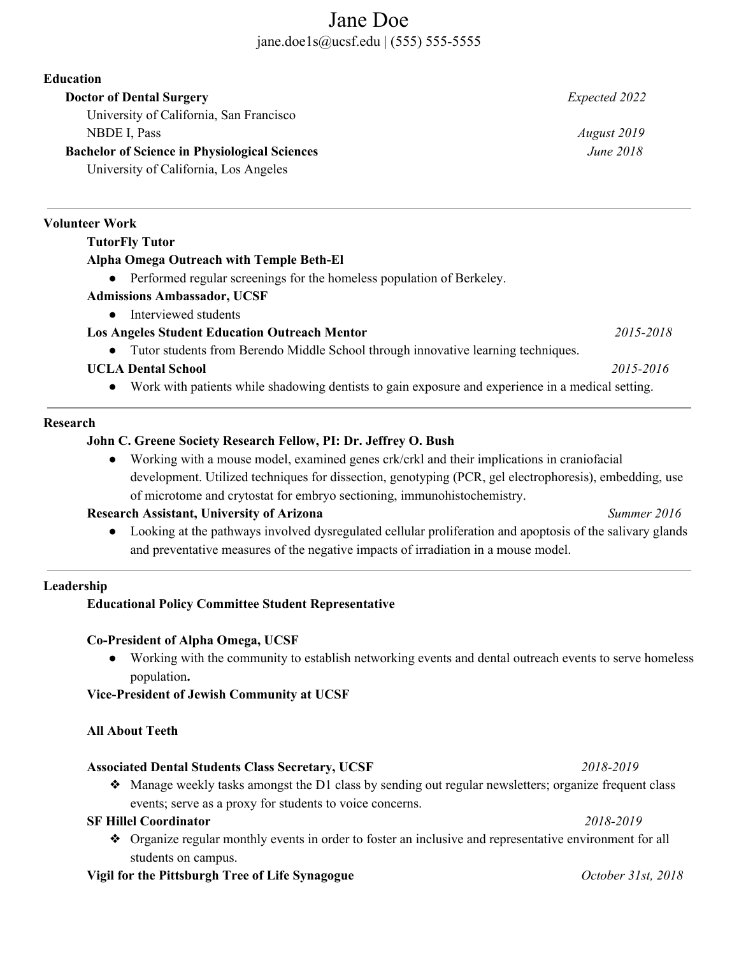# Jane Doe jane.doe1s@ucsf.edu | (555) 555-5555

**Education Doctor of Dental Surgery** *Expected 2022* University of California, San Francisco NBDE I, Pass *August 2019* **Bachelor of Science in Physiological Sciences** *June 2018* University of California, Los Angeles **Volunteer Work TutorFly Tutor Alpha Omega Outreach with Temple Beth-El** ● Performed regular screenings for the homeless population of Berkeley. **Admissions Ambassador, UCSF** • Interviewed students **Los Angeles Student Education Outreach Mentor** *2015-2018*

● Tutor students from Berendo Middle School through innovative learning techniques.

### **UCLA Dental School** *2015-2016*

● Work with patients while shadowing dentists to gain exposure and experience in a medical setting.

#### **Research**

#### **John C. Greene Society Research Fellow, PI: Dr. Jeffrey O. Bush**

● Working with a mouse model, examined genes crk/crkl and their implications in craniofacial development. Utilized techniques for dissection, genotyping (PCR, gel electrophoresis), embedding, use of microtome and crytostat for embryo sectioning, immunohistochemistry.

#### **Research Assistant, University of Arizona** *Summer 2016*

● Looking at the pathways involved dysregulated cellular proliferation and apoptosis of the salivary glands and preventative measures of the negative impacts of irradiation in a mouse model.

#### **Leadership**

#### **Educational Policy Committee Student Representative**

#### **Co-President of Alpha Omega, UCSF**

**●** Working with the community to establish networking events and dental outreach events to serve homeless population**.**

#### **Vice-President of Jewish Community at UCSF**

#### **All About Teeth**

#### **Associated Dental Students Class Secretary, UCSF** *2018-2019*

 $\triangle$  Manage weekly tasks amongst the D1 class by sending out regular newsletters; organize frequent class events; serve as a proxy for students to voice concerns.

# **SF Hillel Coordinator** *2018-2019*

❖ Organize regular monthly events in order to foster an inclusive and representative environment for all students on campus.

# **Vigil for the Pittsburgh Tree of Life Synagogue** *October 31st, 2018*